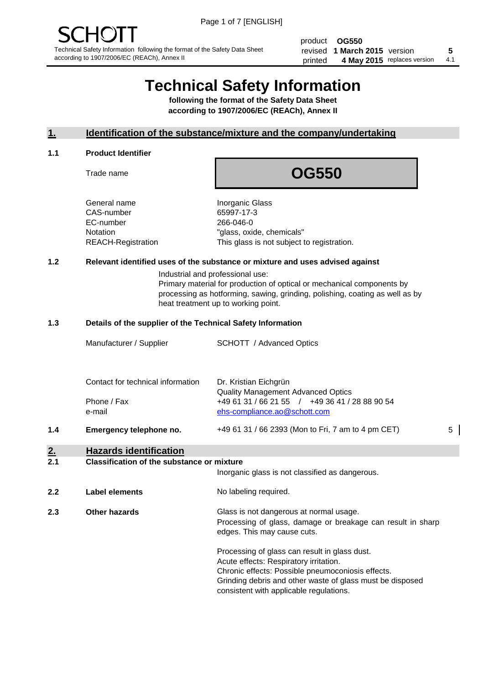product **OG550** revised **5 1 March 2015** version printed 4 May 2015 replaces version 4.1

# **Technical Safety Information**

**following the format of the Safety Data Sheet according to 1907/2006/EC (REACh), Annex II**

#### **1. Identification of the substance/mixture and the company/undertaking**

#### **1.1 Product Identifier**

Trade name

## **OG550**

General name **Inorganic Glass** CAS-number 65997-17-3 EC-number 266-046-0

Notation "glass, oxide, chemicals" REACH-Registration This glass is not subject to registration.

#### **1.2 Relevant identified uses of the substance or mixture and uses advised against**

Industrial and professional use: Primary material for production of optical or mechanical components by processing as hotforming, sawing, grinding, polishing, coating as well as by heat treatment up to working point.

#### **1.3 Details of the supplier of the Technical Safety Information**

|     | Manufacturer / Supplier           | <b>SCHOTT</b> / Advanced Optics                                                |   |
|-----|-----------------------------------|--------------------------------------------------------------------------------|---|
|     |                                   |                                                                                |   |
|     | Contact for technical information | Dr. Kristian Eichgrün<br><b>Quality Management Advanced Optics</b>             |   |
|     | Phone / Fax<br>e-mail             | +49 61 31 / 66 21 55 / +49 36 41 / 28 88 90 54<br>ehs-compliance.ao@schott.com |   |
| 1.4 | Emergency telephone no.           | +49 61 31 / 66 2393 (Mon to Fri, 7 am to 4 pm CET)                             | 5 |
| 2.  | <b>Hazards identification</b>     |                                                                                |   |

#### **2.1 Classification of the substance or mixture**

|     |                | Inorganic glass is not classified as dangerous.                                                                                                                                                                                                      |
|-----|----------------|------------------------------------------------------------------------------------------------------------------------------------------------------------------------------------------------------------------------------------------------------|
| 2.2 | Label elements | No labeling required.                                                                                                                                                                                                                                |
| 2.3 | Other hazards  | Glass is not dangerous at normal usage.<br>Processing of glass, damage or breakage can result in sharp<br>edges. This may cause cuts.                                                                                                                |
|     |                | Processing of glass can result in glass dust.<br>Acute effects: Respiratory irritation.<br>Chronic effects: Possible pneumoconiosis effects.<br>Grinding debris and other waste of glass must be disposed<br>consistent with applicable regulations. |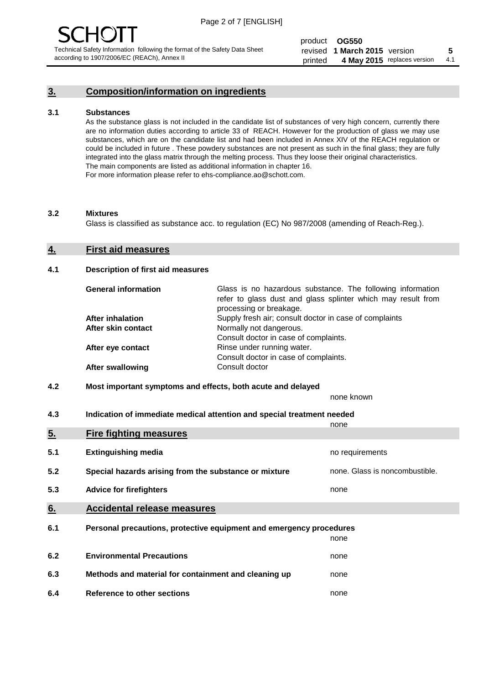#### **3. Composition/information on ingredients**

#### **3.1 Substances**

As the substance glass is not included in the candidate list of substances of very high concern, currently there are no information duties according to article 33 of REACH. However for the production of glass we may use substances, which are on the candidate list and had been included in Annex XIV of the REACH regulation or could be included in future . These powdery substances are not present as such in the final glass; they are fully integrated into the glass matrix through the melting process. Thus they loose their original characteristics. The main components are listed as additional information in chapter 16. For more information please refer to ehs-compliance.ao@schott.com.

#### **3.2 Mixtures**

Glass is classified as substance acc. to regulation (EC) No 987/2008 (amending of Reach-Reg.).

#### **4. First aid measures**

#### **4.1 Description of first aid measures**

| <b>General information</b> | Glass is no hazardous substance. The following information<br>refer to glass dust and glass splinter which may result from<br>processing or breakage. |
|----------------------------|-------------------------------------------------------------------------------------------------------------------------------------------------------|
| <b>After inhalation</b>    | Supply fresh air; consult doctor in case of complaints                                                                                                |
| After skin contact         | Normally not dangerous.                                                                                                                               |
|                            | Consult doctor in case of complaints.                                                                                                                 |
| After eye contact          | Rinse under running water.                                                                                                                            |
|                            | Consult doctor in case of complaints.                                                                                                                 |
| <b>After swallowing</b>    | Consult doctor                                                                                                                                        |

#### **4.2 Most important symptoms and effects, both acute and delayed**

none known

**4.3 Indication of immediate medical attention and special treatment needed** 

|     |                                                                     | none                           |
|-----|---------------------------------------------------------------------|--------------------------------|
| 5.  | <b>Fire fighting measures</b>                                       |                                |
| 5.1 | <b>Extinguishing media</b>                                          | no requirements                |
| 5.2 | Special hazards arising from the substance or mixture               | none. Glass is noncombustible. |
| 5.3 | <b>Advice for firefighters</b>                                      | none                           |
| 6.  | <b>Accidental release measures</b>                                  |                                |
| 6.1 | Personal precautions, protective equipment and emergency procedures |                                |
|     |                                                                     | none                           |
| 6.2 | <b>Environmental Precautions</b>                                    | none                           |
| 6.3 | Methods and material for containment and cleaning up                | none                           |
| 6.4 | Reference to other sections                                         | none                           |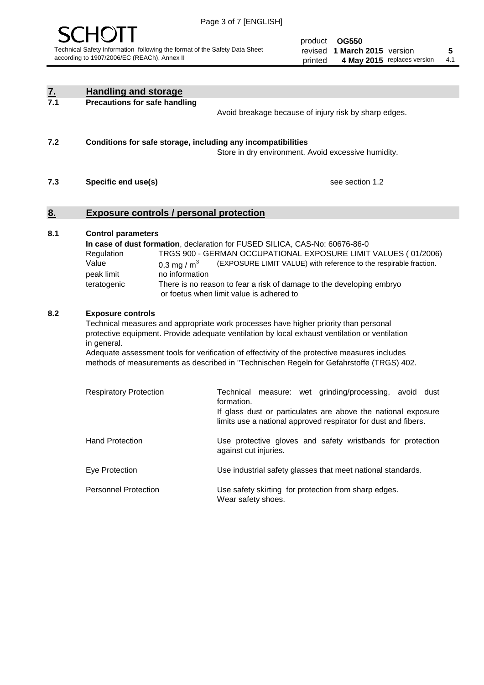

product **OG550** revised **5 1 March 2015** version printed 4 May 2015 replaces version 4.1

| $\underline{\mathbf{Z}}$ | <b>Handling and storage</b>                                                                                                                                                                                                                                                                                                                                                                                                    |                                                                                                                                                                                                                                                                                                                                        |  |  |
|--------------------------|--------------------------------------------------------------------------------------------------------------------------------------------------------------------------------------------------------------------------------------------------------------------------------------------------------------------------------------------------------------------------------------------------------------------------------|----------------------------------------------------------------------------------------------------------------------------------------------------------------------------------------------------------------------------------------------------------------------------------------------------------------------------------------|--|--|
| 7.1                      | <b>Precautions for safe handling</b>                                                                                                                                                                                                                                                                                                                                                                                           | Avoid breakage because of injury risk by sharp edges.                                                                                                                                                                                                                                                                                  |  |  |
| 7.2                      | Conditions for safe storage, including any incompatibilities                                                                                                                                                                                                                                                                                                                                                                   | Store in dry environment. Avoid excessive humidity.                                                                                                                                                                                                                                                                                    |  |  |
| 7.3                      | Specific end use(s)                                                                                                                                                                                                                                                                                                                                                                                                            | see section 1.2                                                                                                                                                                                                                                                                                                                        |  |  |
| <u>8.</u>                | <b>Exposure controls / personal protection</b>                                                                                                                                                                                                                                                                                                                                                                                 |                                                                                                                                                                                                                                                                                                                                        |  |  |
| 8.1                      | <b>Control parameters</b><br>Regulation<br>Value<br>0,3 mg / $m3$<br>peak limit<br>no information<br>teratogenic                                                                                                                                                                                                                                                                                                               | In case of dust formation, declaration for FUSED SILICA, CAS-No: 60676-86-0<br>TRGS 900 - GERMAN OCCUPATIONAL EXPOSURE LIMIT VALUES (01/2006)<br>(EXPOSURE LIMIT VALUE) with reference to the respirable fraction.<br>There is no reason to fear a risk of damage to the developing embryo<br>or foetus when limit value is adhered to |  |  |
| 8.2                      | <b>Exposure controls</b><br>Technical measures and appropriate work processes have higher priority than personal<br>protective equipment. Provide adequate ventilation by local exhaust ventilation or ventilation<br>in general.<br>Adequate assessment tools for verification of effectivity of the protective measures includes<br>methods of measurements as described in "Technischen Regeln for Gefahrstoffe (TRGS) 402. |                                                                                                                                                                                                                                                                                                                                        |  |  |
|                          | <b>Respiratory Protection</b>                                                                                                                                                                                                                                                                                                                                                                                                  | Technical measure: wet grinding/processing, avoid dust<br>formation.<br>If glass dust or particulates are above the national exposure<br>limits use a national approved respirator for dust and fibers.                                                                                                                                |  |  |
|                          | <b>Hand Protection</b>                                                                                                                                                                                                                                                                                                                                                                                                         | Use protective gloves and safety wristbands for protection<br>against cut injuries.                                                                                                                                                                                                                                                    |  |  |
|                          | Eye Protection                                                                                                                                                                                                                                                                                                                                                                                                                 | Use industrial safety glasses that meet national standards.                                                                                                                                                                                                                                                                            |  |  |
|                          | <b>Personnel Protection</b>                                                                                                                                                                                                                                                                                                                                                                                                    | Use safety skirting for protection from sharp edges.<br>Wear safety shoes.                                                                                                                                                                                                                                                             |  |  |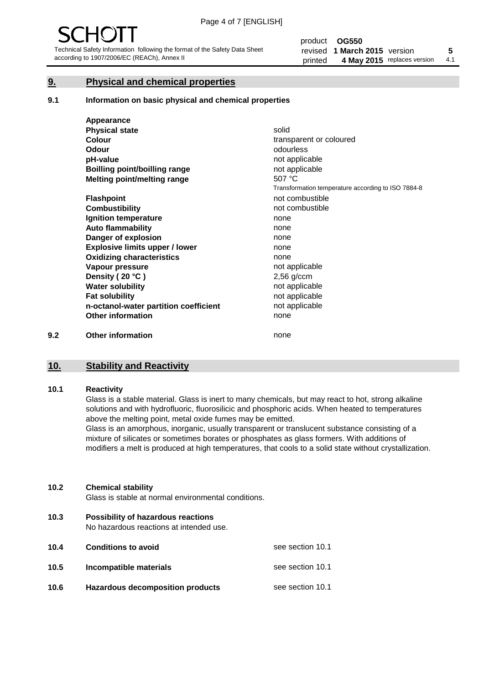#### **9. Physical and chemical properties**

#### **9.1 Information on basic physical and chemical properties**

|     | Appearance                            |                                                    |
|-----|---------------------------------------|----------------------------------------------------|
|     | <b>Physical state</b>                 | solid                                              |
|     | <b>Colour</b>                         | transparent or coloured                            |
|     | <b>Odour</b>                          | odourless                                          |
|     | pH-value                              | not applicable                                     |
|     | Boilling point/boilling range         | not applicable                                     |
|     | Melting point/melting range           | 507 °C                                             |
|     |                                       | Transformation temperature according to ISO 7884-8 |
|     | <b>Flashpoint</b>                     | not combustible                                    |
|     | <b>Combustibility</b>                 | not combustible                                    |
|     | Ignition temperature                  | none                                               |
|     | <b>Auto flammability</b>              | none                                               |
|     | Danger of explosion                   | none                                               |
|     | <b>Explosive limits upper / lower</b> | none                                               |
|     | <b>Oxidizing characteristics</b>      | none                                               |
|     | Vapour pressure                       | not applicable                                     |
|     | Density (20 °C)                       | $2,56$ g/ccm                                       |
|     | <b>Water solubility</b>               | not applicable                                     |
|     | <b>Fat solubility</b>                 | not applicable                                     |
|     | n-octanol-water partition coefficient | not applicable                                     |
|     | <b>Other information</b>              | none                                               |
| 9.2 | <b>Other information</b>              | none                                               |

#### **10. Stability and Reactivity**

#### **10.1 Reactivity**

Glass is a stable material. Glass is inert to many chemicals, but may react to hot, strong alkaline solutions and with hydrofluoric, fluorosilicic and phosphoric acids. When heated to temperatures above the melting point, metal oxide fumes may be emitted.

Glass is an amorphous, inorganic, usually transparent or translucent substance consisting of a mixture of silicates or sometimes borates or phosphates as glass formers. With additions of modifiers a melt is produced at high temperatures, that cools to a solid state without crystallization.

#### **10.2 Chemical stability**

Glass is stable at normal environmental conditions.

**10.3 Possibility of hazardous reactions** 

No hazardous reactions at intended use.

| 10.4 | <b>Conditions to avoid</b>       | see section 10.1 |
|------|----------------------------------|------------------|
| 10.5 | Incompatible materials           | see section 10.1 |
| 10.6 | Hazardous decomposition products | see section 10.1 |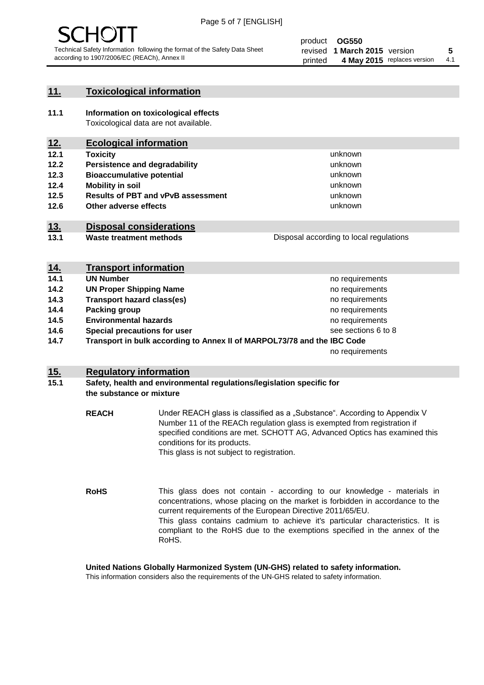

#### **11. Toxicological information**

**11.1 Information on toxicological effects** Toxicological data are not available.

### **12. Ecological information**

- **12.1 Toxicity**
- **12.2 Persistence and degradability**
- **12.3 Bioaccumulative potential**
- **12.4 Mobility in soil**
- **12.5 Results of PBT and vPvB assessment**
- **12.6 Other adverse effects**

#### **13. Disposal considerations**

**13.1 Waste treatment methods**

Disposal according to local regulations

unknown unknown unknown unknown

unknown unknown

| <u>14.</u> | <b>Transport information</b>                                            |                     |  |
|------------|-------------------------------------------------------------------------|---------------------|--|
| 14.1       | <b>UN Number</b>                                                        | no requirements     |  |
| 14.2       | <b>UN Proper Shipping Name</b>                                          | no requirements     |  |
| 14.3       | <b>Transport hazard class(es)</b>                                       | no requirements     |  |
| 14.4       | Packing group                                                           | no requirements     |  |
| 14.5       | <b>Environmental hazards</b>                                            | no requirements     |  |
| 14.6       | Special precautions for user                                            | see sections 6 to 8 |  |
| 14.7       | Transport in bulk according to Annex II of MARPOL73/78 and the IBC Code |                     |  |
|            |                                                                         | no requirements     |  |

#### **15. Regulatory information**

#### **15.1 Safety, health and environmental regulations/legislation specific for the substance or mixture**

**REACH** Under REACH glass is classified as a "Substance". According to Appendix V Number 11 of the REACh regulation glass is exempted from registration if specified conditions are met. SCHOTT AG, Advanced Optics has examined this conditions for its products. This glass is not subject to registration.

**RoHS** This glass does not contain - according to our knowledge - materials in concentrations, whose placing on the market is forbidden in accordance to the current requirements of the European Directive 2011/65/EU. This glass contains cadmium to achieve it's particular characteristics. It is compliant to the RoHS due to the exemptions specified in the annex of the RoHS.

**United Nations Globally Harmonized System (UN-GHS) related to safety information.**

This information considers also the requirements of the UN-GHS related to safety information.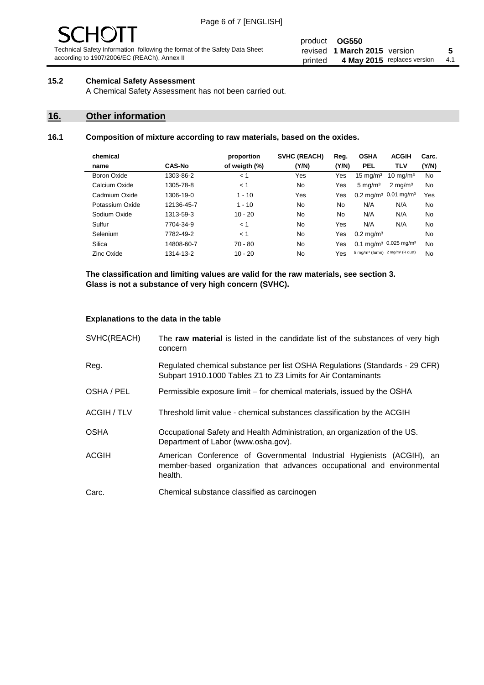# - JF

Technical Safety Information following the format of the Safety Data Sheet according to 1907/2006/EC (REACh), Annex II

#### product **OG550** revised **5 1 March 2015** version printed 4 May 2015 replaces version 4.1

#### **15.2 Chemical Safety Assessment**

A Chemical Safety Assessment has not been carried out.

#### **16. Other information**

#### **16.1 Composition of mixture according to raw materials, based on the oxides.**

| chemical        |               | proportion    | SVHC (REACH) | Reg.  | <b>OSHA</b>                                             | <b>ACGIH</b>                                 | Carc. |
|-----------------|---------------|---------------|--------------|-------|---------------------------------------------------------|----------------------------------------------|-------|
| name            | <b>CAS-No</b> | of weigth (%) | (Y/N)        | (Y/N) | <b>PEL</b>                                              | <b>TLV</b>                                   | (Y/N) |
| Boron Oxide     | 1303-86-2     | < 1           | Yes          | Yes   | $15 \text{ mg/m}^3$                                     | $10 \text{ mg/m}^3$                          | No    |
| Calcium Oxide   | 1305-78-8     | < 1           | No           | Yes   | $5 \text{ mg/m}^3$                                      | $2 \text{ mg/m}^3$                           | No    |
| Cadmium Oxide   | 1306-19-0     | $1 - 10$      | Yes          | Yes   |                                                         | $0.2 \text{ mg/m}^3$ 0.01 mg/m <sup>3</sup>  | Yes   |
| Potassium Oxide | 12136-45-7    | $1 - 10$      | No           | No    | N/A                                                     | N/A                                          | No    |
| Sodium Oxide    | 1313-59-3     | $10 - 20$     | <b>No</b>    | No.   | N/A                                                     | N/A                                          | No    |
| Sulfur          | 7704-34-9     | < 1           | No           | Yes   | N/A                                                     | N/A                                          | No    |
| Selenium        | 7782-49-2     | < 1           | No           | Yes   | $0.2 \,\mathrm{mq/m^3}$                                 |                                              | No    |
| Silica          | 14808-60-7    | $70 - 80$     | No.          | Yes   |                                                         | $0.1 \text{ mg/m}^3$ 0.025 mg/m <sup>3</sup> | No    |
| Zinc Oxide      | 1314-13-2     | $10 - 20$     | No           | Yes   | 5 mg/m <sup>3</sup> (fume) 2 mg/m <sup>3</sup> (R dust) |                                              | No    |

**The classification and limiting values are valid for the raw materials, see section 3. Glass is not a substance of very high concern (SVHC).**

#### **Explanations to the data in the table**

| SVHC(REACH)        | The raw material is listed in the candidate list of the substances of very high<br>concern                                                                 |
|--------------------|------------------------------------------------------------------------------------------------------------------------------------------------------------|
| Reg.               | Regulated chemical substance per list OSHA Regulations (Standards - 29 CFR)<br>Subpart 1910.1000 Tables Z1 to Z3 Limits for Air Contaminants               |
| OSHA / PEL         | Permissible exposure limit – for chemical materials, issued by the OSHA                                                                                    |
| <b>ACGIH / TLV</b> | Threshold limit value - chemical substances classification by the ACGIH                                                                                    |
| <b>OSHA</b>        | Occupational Safety and Health Administration, an organization of the US.<br>Department of Labor (www.osha.gov).                                           |
| ACGIH              | American Conference of Governmental Industrial Hygienists (ACGIH), an<br>member-based organization that advances occupational and environmental<br>health. |
| Carc.              | Chemical substance classified as carcinogen                                                                                                                |